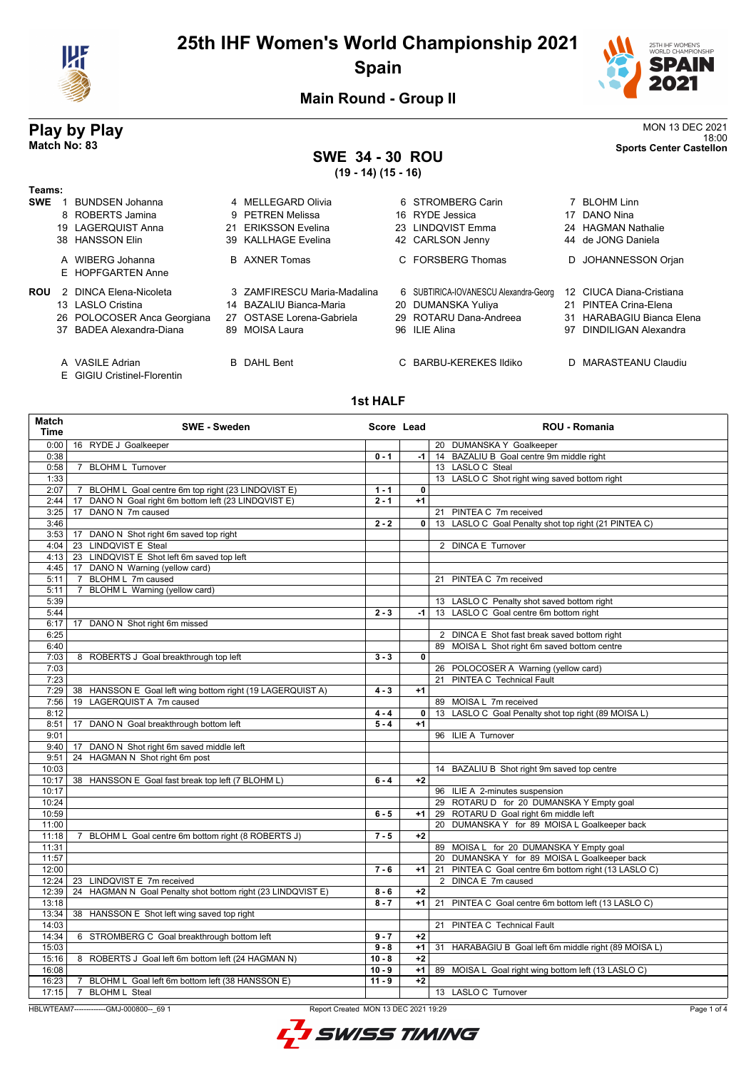

# **25th IHF Women's World Championship 2021 Spain**



18:00 **Match No: 83 Sports Center Castellon**

**Main Round - Group II**

# **Play by Play**<br>MON 13 DEC 2021<br>Sports Center Castellon<br>Sports Center Castellon

# **SWE 34 - 30 ROU**

**(19 - 14) (15 - 16)**

| Teams:     |                                       |    |                             |                                       |    |                           |
|------------|---------------------------------------|----|-----------------------------|---------------------------------------|----|---------------------------|
| <b>SWE</b> | BUNDSEN Johanna                       |    | 4 MELLEGARD Olivia          | 6 STROMBERG Carin                     |    | 7 BLOHM Linn              |
|            | 8 ROBERTS Jamina                      |    | 9 PETREN Melissa            | 16 RYDE Jessica                       | 17 | DANO Nina                 |
|            | 19 LAGERQUIST Anna                    | 21 | <b>ERIKSSON Evelina</b>     | 23 LINDOVIST Emma                     |    | 24 HAGMAN Nathalie        |
|            | 38 HANSSON Elin                       |    | 39 KALLHAGE Evelina         | 42 CARLSON Jenny                      |    | 44 de JONG Daniela        |
|            | A WIBERG Johanna<br>E HOPFGARTEN Anne |    | <b>B</b> AXNER Tomas        | C FORSBERG Thomas                     |    | D JOHANNESSON Orjan       |
| <b>ROU</b> | 2 DINCA Elena-Nicoleta                |    | 3 ZAMFIRESCU Maria-Madalina | 6 SUBTIRICA-IOVANESCU Alexandra-Georg |    | 12 CIUCA Diana-Cristiana  |
|            | 13 LASLO Cristina                     |    | 14 BAZALIU Bianca-Maria     | 20 DUMANSKA Yuliya                    |    | 21 PINTEA Crina-Elena     |
|            | 26 POLOCOSER Anca Georgiana           |    | 27 OSTASE Lorena-Gabriela   | 29 ROTARU Dana-Andreea                |    | 31 HARABAGIU Bianca Elena |
|            | 37 BADEA Alexandra-Diana              |    | 89 MOISA Laura              | 96 ILIE Alina                         | 97 | DINDILIGAN Alexandra      |
|            | A VASILE Adrian                       |    | <b>B</b> DAHL Bent          | C BARBU-KEREKES Ildiko                |    | D MARASTEANU Claudiu      |

E GIGIU Cristinel-Florentin

#### **1st HALF**

| Match<br>Time | <b>SWE - Sweden</b>                                                              |                     | Score Lead | <b>ROU - Romania</b>                                  |             |
|---------------|----------------------------------------------------------------------------------|---------------------|------------|-------------------------------------------------------|-------------|
| 0:00          | 16 RYDE J Goalkeeper                                                             |                     |            | 20 DUMANSKA Y Goalkeeper                              |             |
| 0:38          |                                                                                  | $0 - 1$             | $-1$       | 14 BAZALIU B Goal centre 9m middle right              |             |
| 0:58          | 7 BLOHM L Turnover                                                               |                     |            | 13 LASLO C Steal                                      |             |
| 1:33          |                                                                                  |                     |            | 13 LASLO C Shot right wing saved bottom right         |             |
| 2:07          | 7 BLOHM L Goal centre 6m top right (23 LINDQVIST E)                              | $1 - 1$             | 0          |                                                       |             |
| 2:44          | DANO N Goal right 6m bottom left (23 LINDQVIST E)<br>17                          | $2 - 1$             | $+1$       |                                                       |             |
| 3:25          | DANO N 7m caused<br>17                                                           |                     |            | 21 PINTEA C 7m received                               |             |
| 3:46          |                                                                                  | $2 - 2$             | 0          | 13 LASLO C Goal Penalty shot top right (21 PINTEA C)  |             |
| $3:53$ 17     | DANO N Shot right 6m saved top right                                             |                     |            |                                                       |             |
| 4:04          | 23 LINDQVIST E Steal                                                             |                     |            | 2 DINCA E Turnover                                    |             |
| 4:13          | 23 LINDQVIST E Shot left 6m saved top left                                       |                     |            |                                                       |             |
| 4:45          | DANO N Warning (yellow card)<br>17                                               |                     |            |                                                       |             |
| 5:11          | BLOHM L 7m caused<br>7                                                           |                     |            | 21 PINTEA C 7m received                               |             |
| 5:11          | BLOHM L Warning (yellow card)<br>7                                               |                     |            |                                                       |             |
| 5:39          |                                                                                  |                     |            | 13 LASLO C Penalty shot saved bottom right            |             |
| 5:44          |                                                                                  | $2 - 3$             | $-1$       | 13 LASLO C Goal centre 6m bottom right                |             |
| 6:17          | 17 DANO N Shot right 6m missed                                                   |                     |            |                                                       |             |
| 6:25          |                                                                                  |                     |            | 2 DINCA E Shot fast break saved bottom right          |             |
| 6:40          |                                                                                  |                     |            | 89 MOISA L Shot right 6m saved bottom centre          |             |
| 7:03          | 8 ROBERTS J Goal breakthrough top left                                           | $3 - 3$             | 0          |                                                       |             |
| 7:03          |                                                                                  |                     |            | 26 POLOCOSER A Warning (yellow card)                  |             |
| 7:23          |                                                                                  |                     |            | 21 PINTEA C Technical Fault                           |             |
| 7:29          | 38 HANSSON E Goal left wing bottom right (19 LAGERQUIST A)                       | $4 - 3$             | $+1$       |                                                       |             |
| 7:56          | 19 LAGERQUIST A 7m caused                                                        |                     |            | 89 MOISA L 7m received                                |             |
| 8:12          |                                                                                  | $4 - 4$             | 0          | 13 LASLO C Goal Penalty shot top right (89 MOISA L)   |             |
| 8:51          | DANO N Goal breakthrough bottom left<br>17                                       | $5 - 4$             | $+1$       |                                                       |             |
| 9:01          |                                                                                  |                     |            | 96 ILIE A Turnover                                    |             |
| 9:40          | DANO N Shot right 6m saved middle left<br>17                                     |                     |            |                                                       |             |
| 9:51          | HAGMAN N Shot right 6m post<br>24                                                |                     |            |                                                       |             |
| 10:03         |                                                                                  |                     |            | 14 BAZALIU B Shot right 9m saved top centre           |             |
| 10:17         | 38 HANSSON E Goal fast break top left (7 BLOHM L)                                | $6 - 4$             | $+2$       |                                                       |             |
| 10:17         |                                                                                  |                     |            | 96 ILIE A 2-minutes suspension                        |             |
| 10:24         |                                                                                  |                     |            | 29 ROTARU D for 20 DUMANSKA Y Empty goal              |             |
| 10:59         |                                                                                  | $6 - 5$             | $+1$       | 29 ROTARU D Goal right 6m middle left                 |             |
| 11:00         |                                                                                  |                     |            | 20 DUMANSKA Y for 89 MOISA L Goalkeeper back          |             |
| 11:18         | 7 BLOHM L Goal centre 6m bottom right (8 ROBERTS J)                              | $7 - 5$             | $+2$       |                                                       |             |
| 11:31         |                                                                                  |                     |            | 89 MOISA L for 20 DUMANSKA Y Empty goal               |             |
| 11:57         |                                                                                  |                     |            | 20 DUMANSKA Y for 89 MOISA L Goalkeeper back          |             |
| 12:00         |                                                                                  | $7 - 6$             | $+1$       | 21 PINTEA C Goal centre 6m bottom right (13 LASLO C)  |             |
| 12:24         | 23 LINDQVIST E 7m received                                                       |                     |            | 2 DINCA E 7m caused                                   |             |
| 12:39         | 24 HAGMAN N Goal Penalty shot bottom right (23 LINDQVIST E)                      | $8 - 6$             | $+2$       |                                                       |             |
| 13:18         |                                                                                  | $8 - 7$             | $+1$       | 21 PINTEA C Goal centre 6m bottom left (13 LASLO C)   |             |
| 13:34         | 38 HANSSON E Shot left wing saved top right                                      |                     |            |                                                       |             |
| 14:03         |                                                                                  |                     |            | 21 PINTEA C Technical Fault                           |             |
| 14:34         | 6 STROMBERG C Goal breakthrough bottom left                                      | $9 - 7$             | $+2$       |                                                       |             |
| 15:03         |                                                                                  | $9 - 8$             | $+1$       | 31 HARABAGIU B Goal left 6m middle right (89 MOISA L) |             |
| 15:16         | 8 ROBERTS J Goal left 6m bottom left (24 HAGMAN N)                               | $10 - 8$            | $+2$       |                                                       |             |
| 16:08         |                                                                                  | $\overline{10} - 9$ | $+1$       | 89 MOISA L Goal right wing bottom left (13 LASLO C)   |             |
| 16:23         | 7 BLOHM L Goal left 6m bottom left (38 HANSSON E)                                | $11 - 9$            | $+2$       |                                                       |             |
| 17:15         | 7 BLOHM L Steal                                                                  |                     |            | 13 LASLO C Turnover                                   |             |
|               |                                                                                  |                     |            |                                                       |             |
|               | HBLWTEAM7--------------GMJ-000800-- 69 1<br>Report Created MON 13 DEC 2021 19:29 |                     |            |                                                       | Page 1 of 4 |

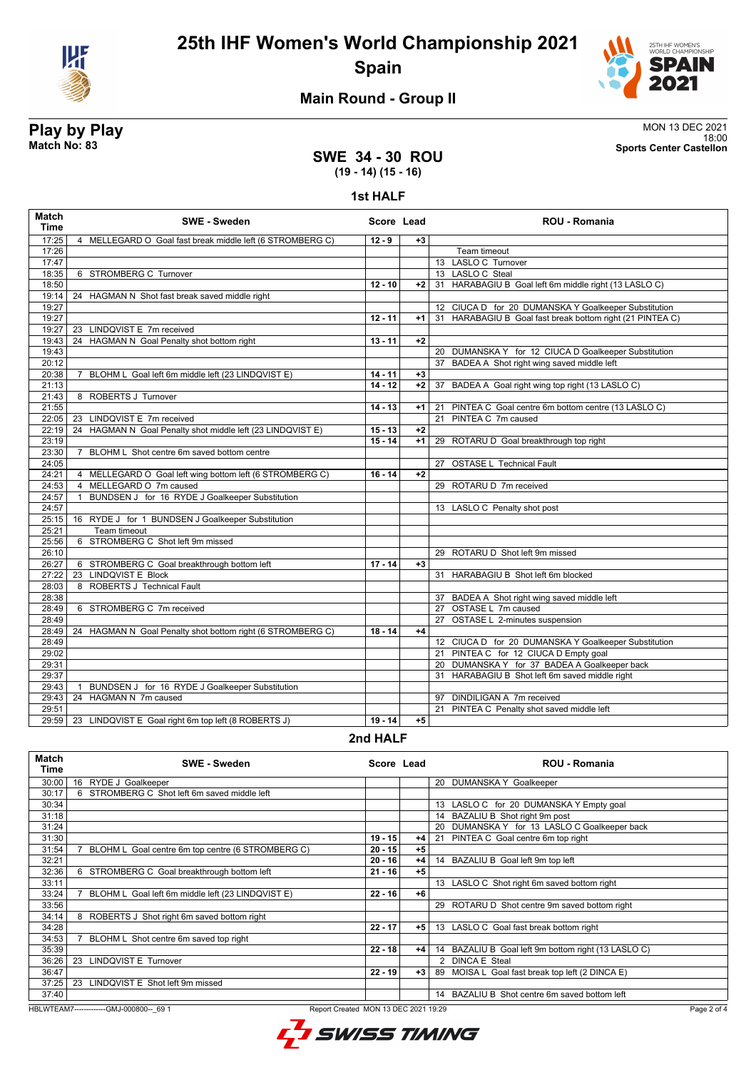

# **25th IHF Women's World Championship 2021 Spain**



#### **Main Round - Group II**

#### **SWE 34 - 30 ROU (19 - 14) (15 - 16)**

**1st HALF**

| <b>Match</b><br><b>Time</b> | <b>SWE - Sweden</b>                                             | Score Lead |      | <b>ROU - Romania</b>                                      |
|-----------------------------|-----------------------------------------------------------------|------------|------|-----------------------------------------------------------|
| 17:25                       | 4 MELLEGARD O Goal fast break middle left (6 STROMBERG C)       | $12 - 9$   | $+3$ |                                                           |
| 17:26                       |                                                                 |            |      | Team timeout                                              |
| 17:47                       |                                                                 |            |      | 13 LASLO C Turnover                                       |
| 18:35                       | 6 STROMBERG C Turnover                                          |            |      | 13 LASLO C Steal                                          |
| 18:50                       |                                                                 | $12 - 10$  | $+2$ | 31 HARABAGIU B Goal left 6m middle right (13 LASLO C)     |
| 19:14                       | 24 HAGMAN N Shot fast break saved middle right                  |            |      |                                                           |
| 19:27                       |                                                                 |            |      | 12 CIUCA D for 20 DUMANSKA Y Goalkeeper Substitution      |
| 19:27                       |                                                                 | $12 - 11$  | $+1$ | 31 HARABAGIU B Goal fast break bottom right (21 PINTEA C) |
| 19:27                       | 23 LINDQVIST E 7m received                                      |            |      |                                                           |
| 19:43                       | 24 HAGMAN N Goal Penalty shot bottom right                      | $13 - 11$  | $+2$ |                                                           |
| 19:43                       |                                                                 |            |      | 20 DUMANSKA Y for 12 CIUCA D Goalkeeper Substitution      |
| 20:12                       |                                                                 |            |      | 37 BADEA A Shot right wing saved middle left              |
| 20:38                       | 7 BLOHM L Goal left 6m middle left (23 LINDQVIST E)             | $14 - 11$  | $+3$ |                                                           |
| 21:13                       |                                                                 | $14 - 12$  | $+2$ | 37 BADEA A Goal right wing top right (13 LASLO C)         |
| 21:43                       | 8 ROBERTS J Turnover                                            |            |      |                                                           |
| 21:55                       |                                                                 | $14 - 13$  | $+1$ | 21 PINTEA C Goal centre 6m bottom centre (13 LASLO C)     |
| 22:05                       | 23 LINDQVIST E 7m received                                      |            |      | 21 PINTEA C 7m caused                                     |
| 22:19                       | 24 HAGMAN N Goal Penalty shot middle left (23 LINDQVIST E)      | $15 - 13$  | $+2$ |                                                           |
| 23:19                       |                                                                 | $15 - 14$  | $+1$ | 29 ROTARU D Goal breakthrough top right                   |
| 23:30                       | BLOHM L Shot centre 6m saved bottom centre<br>$\overline{7}$    |            |      |                                                           |
| 24:05                       |                                                                 |            |      | 27 OSTASE L Technical Fault                               |
| 24:21                       | 4 MELLEGARD O Goal left wing bottom left (6 STROMBERG C)        | $16 - 14$  | $+2$ |                                                           |
| 24:53                       | 4 MELLEGARD O 7m caused                                         |            |      | 29 ROTARU D 7m received                                   |
| 24:57                       | BUNDSEN J for 16 RYDE J Goalkeeper Substitution<br>$\mathbf{1}$ |            |      |                                                           |
| 24:57                       |                                                                 |            |      | 13 LASLO C Penalty shot post                              |
| 25:15                       | 16 RYDE J for 1 BUNDSEN J Goalkeeper Substitution               |            |      |                                                           |
| 25:21                       | Team timeout                                                    |            |      |                                                           |
| 25:56                       | 6 STROMBERG C Shot left 9m missed                               |            |      |                                                           |
| 26:10                       |                                                                 |            |      | 29 ROTARU D Shot left 9m missed                           |
| 26:27                       | 6 STROMBERG C Goal breakthrough bottom left                     | $17 - 14$  | $+3$ |                                                           |
| 27:22                       | 23 LINDQVIST E Block                                            |            |      | 31 HARABAGIU B Shot left 6m blocked                       |
| 28:03                       | 8 ROBERTS J Technical Fault                                     |            |      |                                                           |
| 28:38                       |                                                                 |            |      | 37 BADEA A Shot right wing saved middle left              |
| 28:49                       | 6 STROMBERG C 7m received                                       |            |      | 27 OSTASE L 7m caused                                     |
| 28:49                       |                                                                 |            |      | 27 OSTASE L 2-minutes suspension                          |
| 28:49                       | 24 HAGMAN N Goal Penalty shot bottom right (6 STROMBERG C)      | $18 - 14$  | $+4$ |                                                           |
| 28:49                       |                                                                 |            |      | 12 CIUCA D for 20 DUMANSKA Y Goalkeeper Substitution      |
| 29:02                       |                                                                 |            |      | 21 PINTEA C for 12 CIUCA D Empty goal                     |
| 29:31                       |                                                                 |            |      | 20 DUMANSKA Y for 37 BADEA A Goalkeeper back              |
| 29:37                       |                                                                 |            |      | 31 HARABAGIU B Shot left 6m saved middle right            |
| 29:43                       | BUNDSEN J for 16 RYDE J Goalkeeper Substitution<br>$\mathbf{1}$ |            |      |                                                           |
| 29:43                       | 24 HAGMAN N 7m caused                                           |            |      | 97 DINDILIGAN A 7m received                               |
| 29:51                       |                                                                 |            |      | 21 PINTEA C Penalty shot saved middle left                |
|                             | 29:59   23 LINDQVIST E Goal right 6m top left (8 ROBERTS J)     | $19 - 14$  | $+5$ |                                                           |
|                             |                                                                 |            |      |                                                           |

#### **2nd HALF**

| Match<br>Time | <b>SWE - Sweden</b>                               | Score Lead |      | <b>ROU - Romania</b>                                   |
|---------------|---------------------------------------------------|------------|------|--------------------------------------------------------|
| 30:00         | 16<br>RYDE J Goalkeeper                           |            |      | DUMANSKA Y Goalkeeper<br>20                            |
| 30:17         | STROMBERG C Shot left 6m saved middle left<br>6   |            |      |                                                        |
| 30:34         |                                                   |            |      | 13 LASLO C for 20 DUMANSKA Y Empty goal                |
| 31:18         |                                                   |            |      | 14 BAZALIU B Shot right 9m post                        |
| 31:24         |                                                   |            |      | DUMANSKA Y for 13 LASLO C Goalkeeper back<br>20        |
| 31:30         |                                                   | $19 - 15$  | $+4$ | 21 PINTEA C Goal centre 6m top right                   |
| 31:54         | BLOHM L Goal centre 6m top centre (6 STROMBERG C) | $20 - 15$  | $+5$ |                                                        |
| 32:21         |                                                   | $20 - 16$  | $+4$ | 14 BAZALIU B Goal left 9m top left                     |
| 32:36         | STROMBERG C Goal breakthrough bottom left<br>6    | $21 - 16$  | $+5$ |                                                        |
| 33:11         |                                                   |            |      | 13 LASLO C Shot right 6m saved bottom right            |
| 33:24         | BLOHM L Goal left 6m middle left (23 LINDQVIST E) | $22 - 16$  | $+6$ |                                                        |
| 33:56         |                                                   |            |      | ROTARU D Shot centre 9m saved bottom right<br>29       |
| 34:14         | 8 ROBERTS J Shot right 6m saved bottom right      |            |      |                                                        |
| 34:28         |                                                   | $22 - 17$  | $+5$ | 13 LASLO C Goal fast break bottom right                |
| 34:53         | BLOHM L Shot centre 6m saved top right            |            |      |                                                        |
| 35:39         |                                                   | $22 - 18$  | $+4$ | BAZALIU B Goal left 9m bottom right (13 LASLO C)<br>14 |
| 36:26         | LINDQVIST E Turnover<br>23                        |            |      | <b>DINCA E Steal</b><br>$\mathcal{P}$                  |
| 36:47         |                                                   | $22 - 19$  | $+3$ | 89 MOISA L Goal fast break top left (2 DINCA E)        |
| 37:25         | LINDQVIST E Shot left 9m missed<br>23             |            |      |                                                        |
| 37:40         |                                                   |            |      | BAZALIU B Shot centre 6m saved bottom left<br>14       |

HBLWTEAM7---------------GMJ-000800--\_69 1 Report Created MON 13 DEC 2021 19:29



**Play by Play**<br>MON 13 DEC 2021<br>Sports Center Castellon<br>Sports Center Castellon 18:00 **Match No: 83 Sports Center Castellon**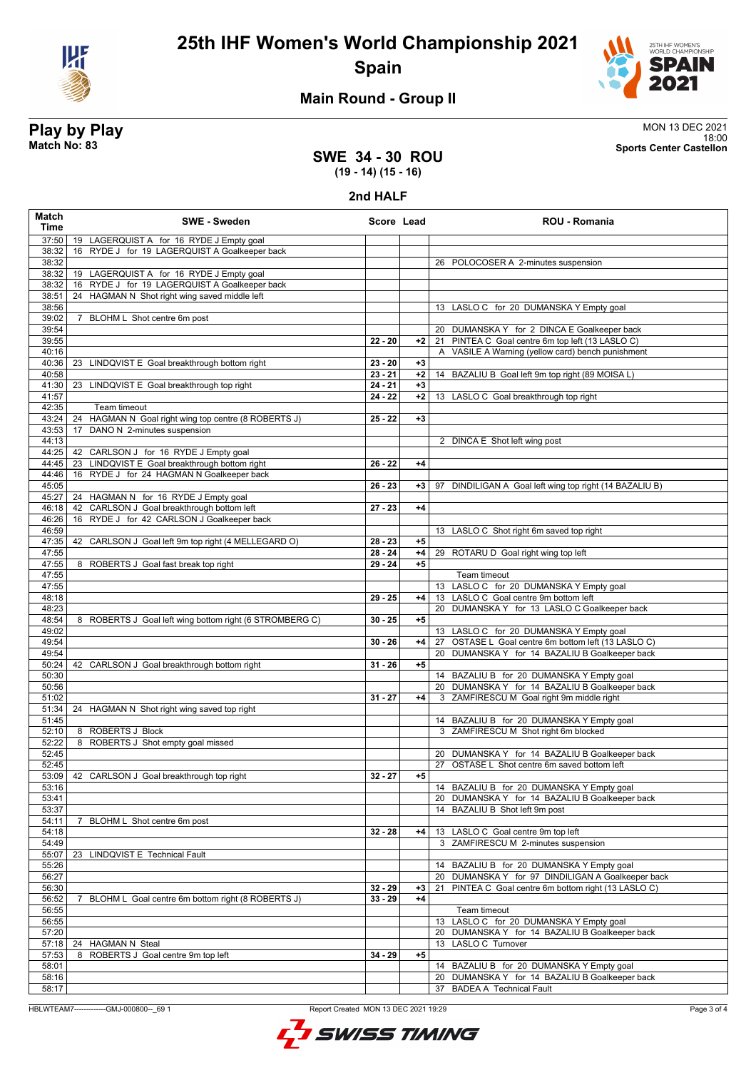



18:00 **Match No: 83 Sports Center Castellon**

### **Main Round - Group II**

# **Play by Play**<br>MON 13 DEC 2021<br>Sports Center Castellon<br>Sports Center Castellon

**SWE 34 - 30 ROU (19 - 14) (15 - 16)**

**2nd HALF**

| Match<br>Time  | <b>SWE - Sweden</b>                                                                          | Score Lead             |              | <b>ROU - Romania</b>                                       |
|----------------|----------------------------------------------------------------------------------------------|------------------------|--------------|------------------------------------------------------------|
|                | 37:50   19 LAGERQUIST A for 16 RYDE J Empty goal                                             |                        |              |                                                            |
| 38:32          | 16 RYDE J for 19 LAGERQUIST A Goalkeeper back                                                |                        |              |                                                            |
| 38:32          |                                                                                              |                        |              | 26 POLOCOSER A 2-minutes suspension                        |
| 38:32          | 19 LAGERQUIST A for 16 RYDE J Empty goal                                                     |                        |              |                                                            |
| 38:32          | 16 RYDE J for 19 LAGERQUIST A Goalkeeper back                                                |                        |              |                                                            |
| 38:51<br>38:56 | 24 HAGMAN N Shot right wing saved middle left                                                |                        |              | 13 LASLO C for 20 DUMANSKA Y Empty goal                    |
| 39:02          | 7 BLOHM L Shot centre 6m post                                                                |                        |              |                                                            |
| 39:54          |                                                                                              |                        |              | 20 DUMANSKA Y for 2 DINCA E Goalkeeper back                |
| 39:55          |                                                                                              | $22 - 20$              | $+2$         | 21 PINTEA C Goal centre 6m top left (13 LASLO C)           |
| 40:16          |                                                                                              |                        |              | A VASILE A Warning (yellow card) bench punishment          |
| 40:36          | 23 LINDQVIST E Goal breakthrough bottom right                                                | $23 - 20$              | $+3$         |                                                            |
| 40:58          |                                                                                              | $23 - 21$              | $+2$         | 14 BAZALIU B Goal left 9m top right (89 MOISA L)           |
| 41:30          | 23 LINDQVIST E Goal breakthrough top right                                                   | $24 - 21$              | $+3$         |                                                            |
| 41:57          |                                                                                              | $24 - 22$              | $+2$         | 13 LASLO C Goal breakthrough top right                     |
| 42:35          | Team timeout                                                                                 |                        |              |                                                            |
| 43:24<br>43:53 | HAGMAN N Goal right wing top centre (8 ROBERTS J)<br>24<br>DANO N 2-minutes suspension<br>17 | $25 - 22$              | $+3$         |                                                            |
| 44:13          |                                                                                              |                        |              | 2 DINCA E Shot left wing post                              |
| 44:25          | 42 CARLSON J for 16 RYDE J Empty goal                                                        |                        |              |                                                            |
| 44:45          | 23 LINDQVIST E Goal breakthrough bottom right                                                | $26 - 22$              | $+4$         |                                                            |
| 44:46          | 16 RYDE J for 24 HAGMAN N Goalkeeper back                                                    |                        |              |                                                            |
| 45:05          |                                                                                              | $26 - 23$              | +3           | DINDILIGAN A Goal left wing top right (14 BAZALIU B)<br>97 |
| 45:27          | 24 HAGMAN N for 16 RYDE J Empty goal                                                         |                        |              |                                                            |
| 46:18          | 42 CARLSON J Goal breakthrough bottom left                                                   | $27 - 23$              | $+4$         |                                                            |
| 46:26          | 16 RYDE J for 42 CARLSON J Goalkeeper back                                                   |                        |              |                                                            |
| 46:59          |                                                                                              |                        |              | 13 LASLO C Shot right 6m saved top right                   |
| 47:35          | 42 CARLSON J Goal left 9m top right (4 MELLEGARD O)                                          | $28 - 23$<br>$28 - 24$ | $+5$         |                                                            |
| 47:55<br>47:55 | 8 ROBERTS J Goal fast break top right                                                        | $29 - 24$              | $+4$<br>$+5$ | 29 ROTARU D Goal right wing top left                       |
| 47:55          |                                                                                              |                        |              | Team timeout                                               |
| 47:55          |                                                                                              |                        |              | 13 LASLO C for 20 DUMANSKA Y Empty goal                    |
| 48:18          |                                                                                              | $29 - 25$              | $+4$         | 13 LASLO C Goal centre 9m bottom left                      |
| 48:23          |                                                                                              |                        |              | 20 DUMANSKA Y for 13 LASLO C Goalkeeper back               |
| 48:54          | 8 ROBERTS J Goal left wing bottom right (6 STROMBERG C)                                      | $30 - 25$              | $+5$         |                                                            |
| 49:02          |                                                                                              |                        |              | 13 LASLO C for 20 DUMANSKA Y Empty goal                    |
| 49:54          |                                                                                              | $30 - 26$              | $+4$         | 27 OSTASE L Goal centre 6m bottom left (13 LASLO C)        |
| 49:54          |                                                                                              |                        |              | 20 DUMANSKA Y for 14 BAZALIU B Goalkeeper back             |
| 50:24<br>50:30 | 42 CARLSON J Goal breakthrough bottom right                                                  | $31 - 26$              | $+5$         | 14 BAZALIU B for 20 DUMANSKA Y Empty goal                  |
| 50:56          |                                                                                              |                        |              | 20 DUMANSKA Y for 14 BAZALIU B Goalkeeper back             |
| 51:02          |                                                                                              | $31 - 27$              | $+4$         | 3 ZAMFIRESCU M Goal right 9m middle right                  |
| 51:34          | 24 HAGMAN N Shot right wing saved top right                                                  |                        |              |                                                            |
| 51:45          |                                                                                              |                        |              | 14 BAZALIU B for 20 DUMANSKA Y Empty goal                  |
| 52:10          | 8 ROBERTS J Block                                                                            |                        |              | 3 ZAMFIRESCU M Shot right 6m blocked                       |
| 52:22          | 8 ROBERTS J Shot empty goal missed                                                           |                        |              |                                                            |
| 52:45          |                                                                                              |                        |              | 20 DUMANSKA Y for 14 BAZALIU B Goalkeeper back             |
| 52:45          |                                                                                              | $32 - 27$              |              | 27 OSTASE L Shot centre 6m saved bottom left               |
| 53:16          | 53:09   42 CARLSON J Goal breakthrough top right                                             |                        | $+5$         | 14 BAZALIU B for 20 DUMANSKA Y Empty goal                  |
| 53:41          |                                                                                              |                        |              | 20 DUMANSKA Y for 14 BAZALIU B Goalkeeper back             |
| 53:37          |                                                                                              |                        |              | 14 BAZALIU B Shot left 9m post                             |
| 54:11          | 7 BLOHM L Shot centre 6m post                                                                |                        |              |                                                            |
| 54:18          |                                                                                              | $32 - 28$              | +4           | 13 LASLO C Goal centre 9m top left                         |
| 54:49          |                                                                                              |                        |              | ZAMFIRESCU M 2-minutes suspension<br>3                     |
| 55:07          | 23 LINDQVIST E Technical Fault                                                               |                        |              |                                                            |
| 55:26          |                                                                                              |                        |              | 14 BAZALIU B for 20 DUMANSKA Y Empty goal                  |
| 56:27          |                                                                                              |                        |              | 20 DUMANSKA Y for 97 DINDILIGAN A Goalkeeper back          |
| 56:30          |                                                                                              | $32 - 29$              | $+3$         | PINTEA C Goal centre 6m bottom right (13 LASLO C)<br>21    |
| 56:52          | BLOHM L Goal centre 6m bottom right (8 ROBERTS J)<br>7                                       | $33 - 29$              | $+4$         | Team timeout                                               |
| 56:55<br>56:55 |                                                                                              |                        |              | 13 LASLO C for 20 DUMANSKA Y Empty goal                    |
| 57:20          |                                                                                              |                        |              | 20 DUMANSKA Y for 14 BAZALIU B Goalkeeper back             |
| 57:18          | 24 HAGMAN N Steal                                                                            |                        |              | 13 LASLO C Turnover                                        |
| 57:53          | ROBERTS J Goal centre 9m top left<br>8                                                       | $34 - 29$              | $+5$         |                                                            |
| 58:01          |                                                                                              |                        |              | 14 BAZALIU B for 20 DUMANSKA Y Empty goal                  |
| 58:16          |                                                                                              |                        |              | 20 DUMANSKA Y for 14 BAZALIU B Goalkeeper back             |
| 58:17          |                                                                                              |                        |              | <b>BADEA A Technical Fault</b><br>37                       |